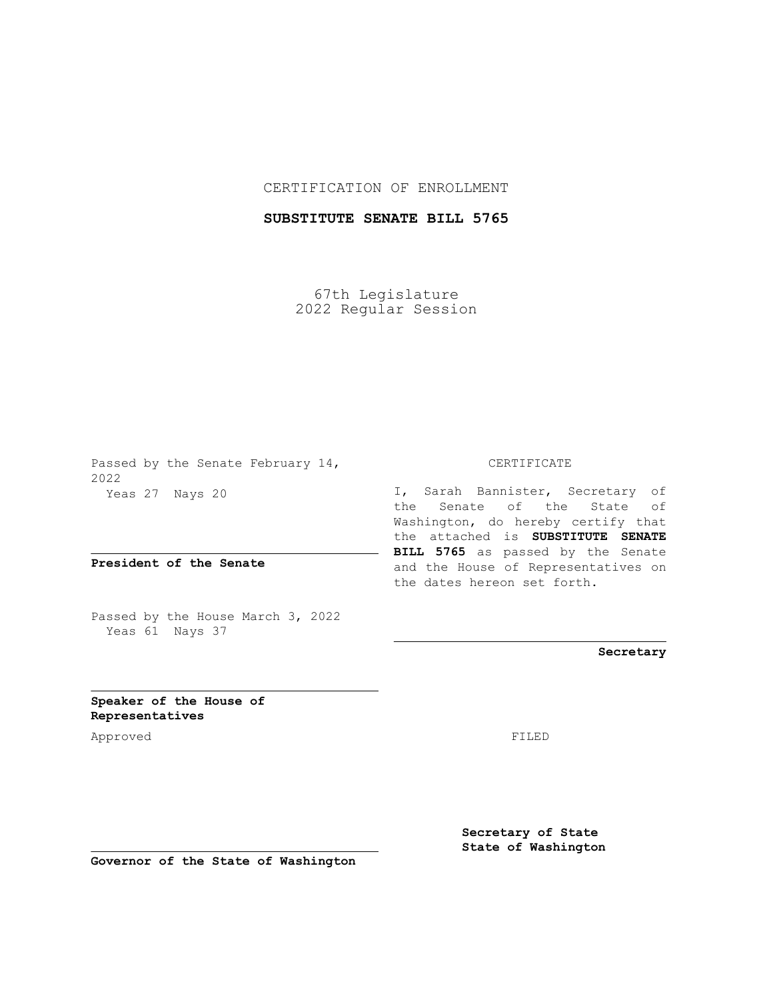## CERTIFICATION OF ENROLLMENT

## **SUBSTITUTE SENATE BILL 5765**

67th Legislature 2022 Regular Session

Passed by the Senate February 14, 2022 Yeas 27 Nays 20

**President of the Senate**

Passed by the House March 3, 2022 Yeas 61 Nays 37

## CERTIFICATE

I, Sarah Bannister, Secretary of the Senate of the State of Washington, do hereby certify that the attached is **SUBSTITUTE SENATE BILL 5765** as passed by the Senate and the House of Representatives on the dates hereon set forth.

**Secretary**

**Speaker of the House of Representatives**

Approved FILED

**Secretary of State State of Washington**

**Governor of the State of Washington**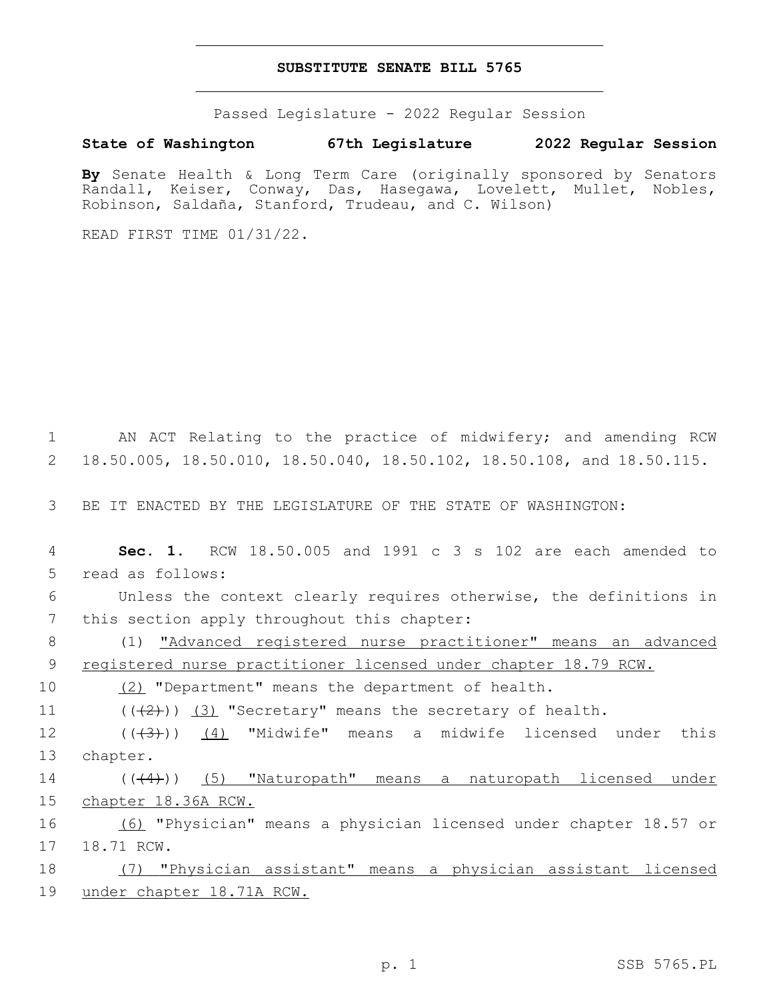#### **SUBSTITUTE SENATE BILL 5765**

Passed Legislature - 2022 Regular Session

# **State of Washington 67th Legislature 2022 Regular Session**

**By** Senate Health & Long Term Care (originally sponsored by Senators Randall, Keiser, Conway, Das, Hasegawa, Lovelett, Mullet, Nobles, Robinson, Saldaña, Stanford, Trudeau, and C. Wilson)

READ FIRST TIME 01/31/22.

1 AN ACT Relating to the practice of midwifery; and amending RCW 2 18.50.005, 18.50.010, 18.50.040, 18.50.102, 18.50.108, and 18.50.115.

3 BE IT ENACTED BY THE LEGISLATURE OF THE STATE OF WASHINGTON:

4 **Sec. 1.** RCW 18.50.005 and 1991 c 3 s 102 are each amended to 5 read as follows:

6 Unless the context clearly requires otherwise, the definitions in 7 this section apply throughout this chapter:

8 (1) "Advanced registered nurse practitioner" means an advanced 9 registered nurse practitioner licensed under chapter 18.79 RCW.

10 (2) "Department" means the department of health.

11  $((\langle 2 \rangle)(3)$  "Secretary" means the secretary of health.

12 ((<del>(3)</del>)) <u>(4)</u> "Midwife" means a midwife licensed under this 13 chapter.

14 (((4)) (5) "Naturopath" means a naturopath licensed under 15 chapter 18.36A RCW.

16 (6) "Physician" means a physician licensed under chapter 18.57 or 17 18.71 RCW.

18 (7) "Physician assistant" means a physician assistant licensed 19 under chapter 18.71A RCW.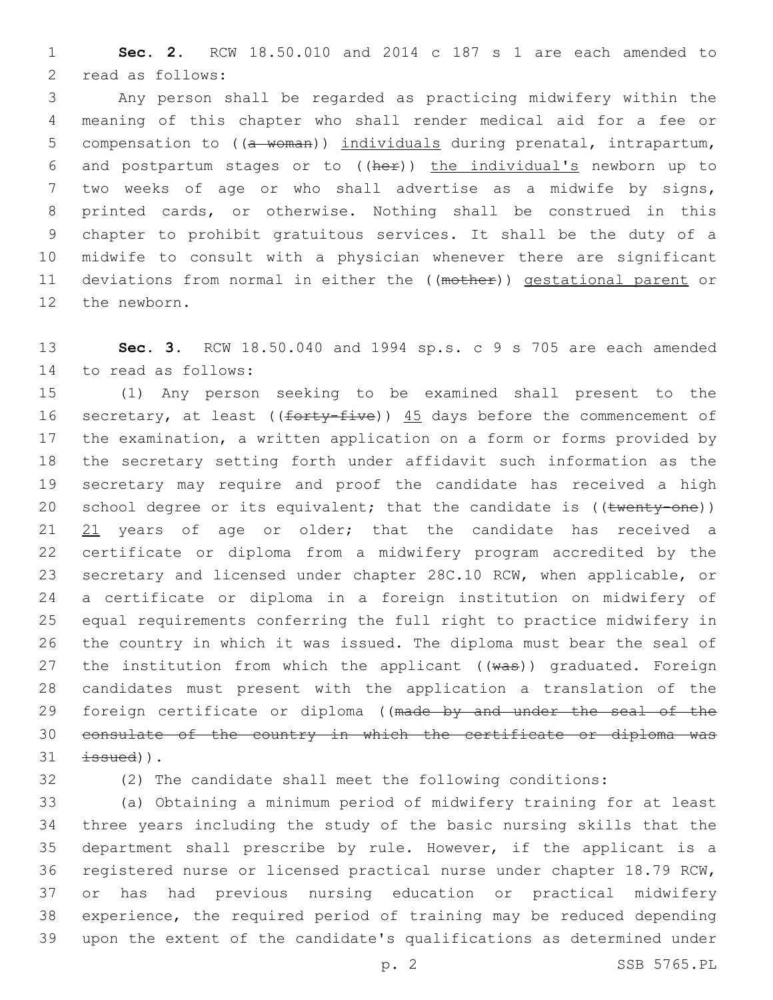**Sec. 2.** RCW 18.50.010 and 2014 c 187 s 1 are each amended to 2 read as follows:

 Any person shall be regarded as practicing midwifery within the meaning of this chapter who shall render medical aid for a fee or 5 compensation to ((a woman)) individuals during prenatal, intrapartum, and postpartum stages or to ((her)) the individual's newborn up to two weeks of age or who shall advertise as a midwife by signs, printed cards, or otherwise. Nothing shall be construed in this chapter to prohibit gratuitous services. It shall be the duty of a midwife to consult with a physician whenever there are significant 11 deviations from normal in either the ((mother)) gestational parent or 12 the newborn.

 **Sec. 3.** RCW 18.50.040 and 1994 sp.s. c 9 s 705 are each amended 14 to read as follows:

 (1) Any person seeking to be examined shall present to the 16 secretary, at least ((forty-five)) 45 days before the commencement of the examination, a written application on a form or forms provided by the secretary setting forth under affidavit such information as the secretary may require and proof the candidate has received a high 20 school degree or its equivalent; that the candidate is ((twenty-one)) 21 years of age or older; that the candidate has received a certificate or diploma from a midwifery program accredited by the secretary and licensed under chapter 28C.10 RCW, when applicable, or a certificate or diploma in a foreign institution on midwifery of equal requirements conferring the full right to practice midwifery in the country in which it was issued. The diploma must bear the seal of 27 the institution from which the applicant  $((wa*)$  graduated. Foreign candidates must present with the application a translation of the 29 foreign certificate or diploma ((made by and under the seal of the consulate of the country in which the certificate or diploma was  $\pm$ ssued)).

(2) The candidate shall meet the following conditions:

 (a) Obtaining a minimum period of midwifery training for at least three years including the study of the basic nursing skills that the department shall prescribe by rule. However, if the applicant is a registered nurse or licensed practical nurse under chapter 18.79 RCW, or has had previous nursing education or practical midwifery experience, the required period of training may be reduced depending upon the extent of the candidate's qualifications as determined under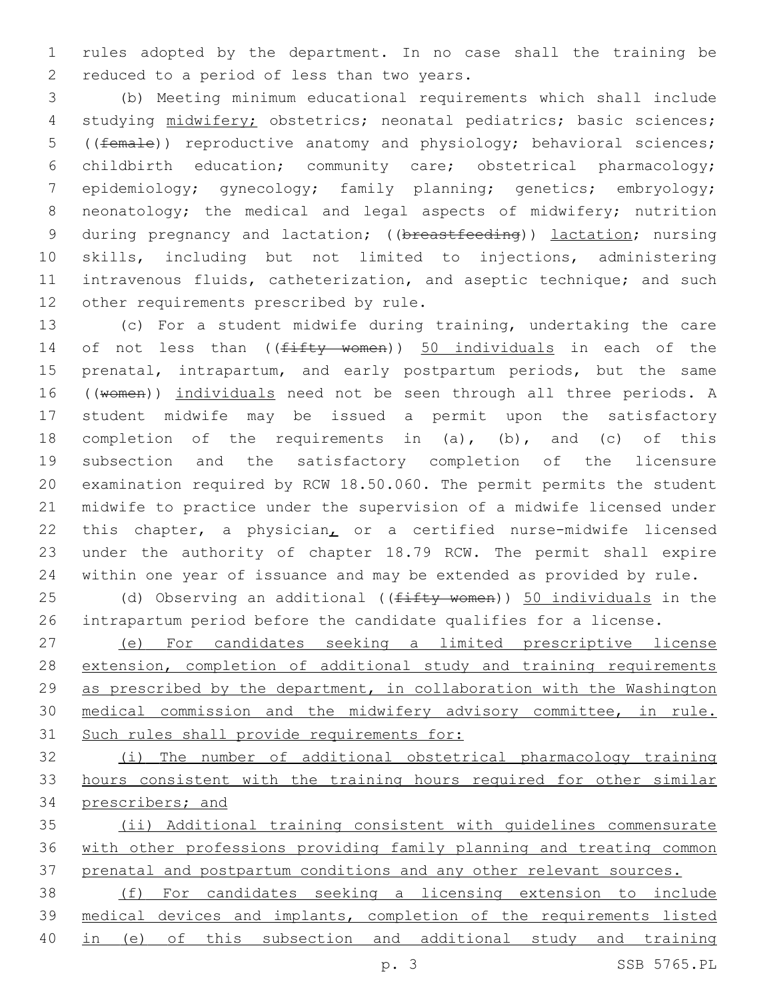rules adopted by the department. In no case shall the training be 2 reduced to a period of less than two years.

 (b) Meeting minimum educational requirements which shall include studying midwifery; obstetrics; neonatal pediatrics; basic sciences; ((female)) reproductive anatomy and physiology; behavioral sciences; childbirth education; community care; obstetrical pharmacology; epidemiology; gynecology; family planning; genetics; embryology; 8 neonatology; the medical and legal aspects of midwifery; nutrition 9 during pregnancy and lactation; ((breastfeeding)) lactation; nursing skills, including but not limited to injections, administering intravenous fluids, catheterization, and aseptic technique; and such 12 other requirements prescribed by rule.

 (c) For a student midwife during training, undertaking the care 14 of not less than ((fifty women)) 50 individuals in each of the prenatal, intrapartum, and early postpartum periods, but the same 16 ((women)) individuals need not be seen through all three periods. A student midwife may be issued a permit upon the satisfactory completion of the requirements in (a), (b), and (c) of this subsection and the satisfactory completion of the licensure examination required by RCW 18.50.060. The permit permits the student midwife to practice under the supervision of a midwife licensed under this chapter, a physician, or a certified nurse-midwife licensed under the authority of chapter 18.79 RCW. The permit shall expire within one year of issuance and may be extended as provided by rule.

25 (d) Observing an additional ((fifty women)) 50 individuals in the intrapartum period before the candidate qualifies for a license.

 (e) For candidates seeking a limited prescriptive license extension, completion of additional study and training requirements 29 as prescribed by the department, in collaboration with the Washington medical commission and the midwifery advisory committee, in rule. Such rules shall provide requirements for:

 (i) The number of additional obstetrical pharmacology training hours consistent with the training hours required for other similar prescribers; and

 (ii) Additional training consistent with guidelines commensurate with other professions providing family planning and treating common 37 prenatal and postpartum conditions and any other relevant sources.

 (f) For candidates seeking a licensing extension to include medical devices and implants, completion of the requirements listed in (e) of this subsection and additional study and training

p. 3 SSB 5765.PL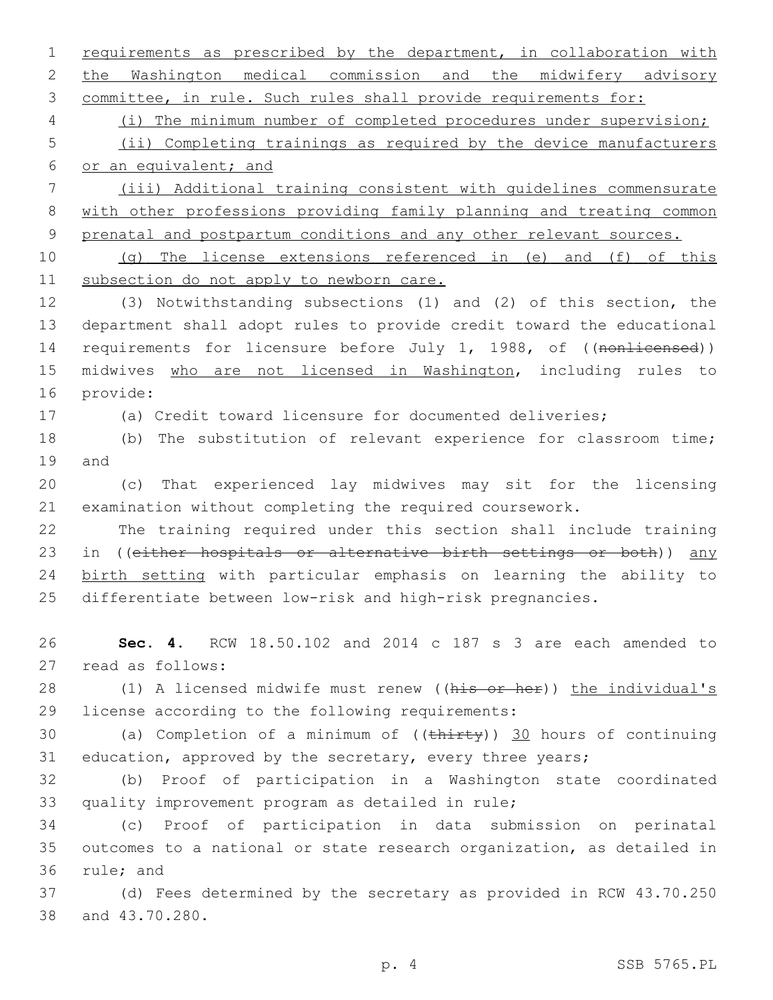2 the Washington medical commission and the midwifery advisory 3 committee, in rule. Such rules shall provide requirements for: 4 (i) The minimum number of completed procedures under supervision; 5 (ii) Completing trainings as required by the device manufacturers 6 or an equivalent; and 7 (iii) Additional training consistent with guidelines commensurate 8 with other professions providing family planning and treating common 9 prenatal and postpartum conditions and any other relevant sources. 10 (g) The license extensions referenced in (e) and (f) of this 11 subsection do not apply to newborn care. 12 (3) Notwithstanding subsections (1) and (2) of this section, the 13 department shall adopt rules to provide credit toward the educational 14 requirements for licensure before July 1, 1988, of ((nonlicensed)) 15 midwives who are not licensed in Washington, including rules to 16 provide: 17 (a) Credit toward licensure for documented deliveries; 18 (b) The substitution of relevant experience for classroom time; 19 and 20 (c) That experienced lay midwives may sit for the licensing 21 examination without completing the required coursework. 22 The training required under this section shall include training 23 in ((either hospitals or alternative birth settings or both)) any 24 birth setting with particular emphasis on learning the ability to 25 differentiate between low-risk and high-risk pregnancies. 26 **Sec. 4.** RCW 18.50.102 and 2014 c 187 s 3 are each amended to 27 read as follows: 28 (1) A licensed midwife must renew ((his or her)) the individual's 29 license according to the following requirements: 30 (a) Completion of a minimum of  $((\text{thirty}))$  30 hours of continuing 31 education, approved by the secretary, every three years; 32 (b) Proof of participation in a Washington state coordinated 33 quality improvement program as detailed in rule; 34 (c) Proof of participation in data submission on perinatal 35 outcomes to a national or state research organization, as detailed in 36 rule; and 37 (d) Fees determined by the secretary as provided in RCW 43.70.250 38 and 43.70.280. p. 4 SSB 5765.PL

1 requirements as prescribed by the department, in collaboration with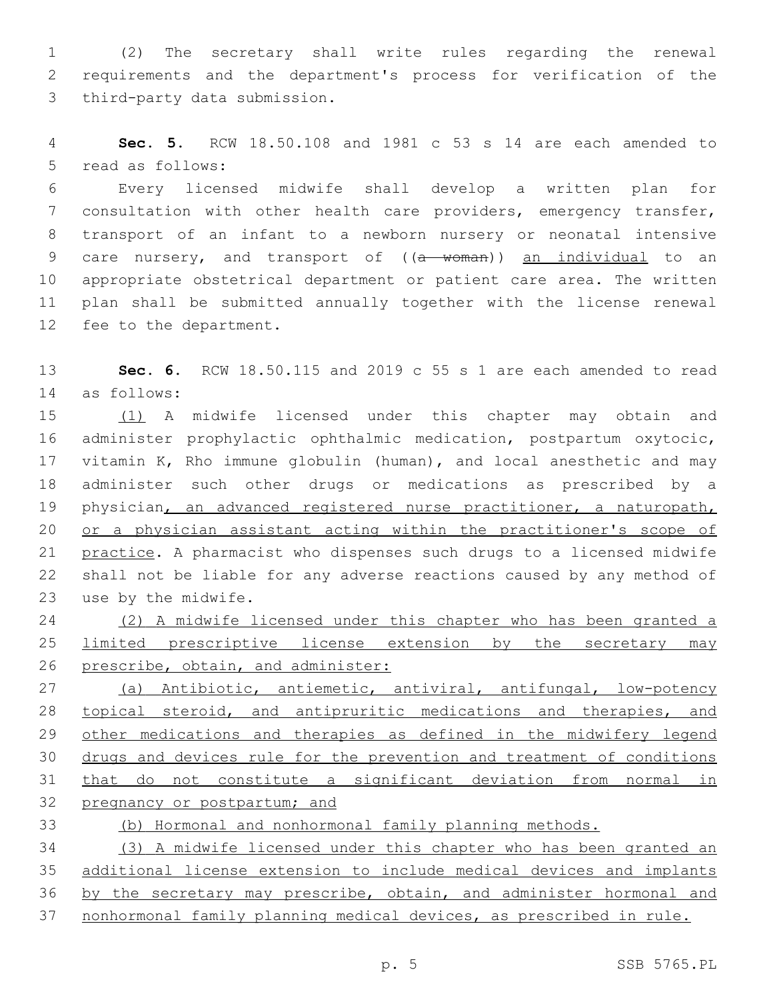(2) The secretary shall write rules regarding the renewal requirements and the department's process for verification of the 3 third-party data submission.

 **Sec. 5.** RCW 18.50.108 and 1981 c 53 s 14 are each amended to 5 read as follows:

 Every licensed midwife shall develop a written plan for consultation with other health care providers, emergency transfer, transport of an infant to a newborn nursery or neonatal intensive 9 care nursery, and transport of ((a woman)) an individual to an appropriate obstetrical department or patient care area. The written plan shall be submitted annually together with the license renewal 12 fee to the department.

 **Sec. 6.** RCW 18.50.115 and 2019 c 55 s 1 are each amended to read as follows:14

 (1) A midwife licensed under this chapter may obtain and administer prophylactic ophthalmic medication, postpartum oxytocic, vitamin K, Rho immune globulin (human), and local anesthetic and may administer such other drugs or medications as prescribed by a 19 physician, an advanced registered nurse practitioner, a naturopath, or a physician assistant acting within the practitioner's scope of practice. A pharmacist who dispenses such drugs to a licensed midwife shall not be liable for any adverse reactions caused by any method of 23 use by the midwife.

 (2) A midwife licensed under this chapter who has been granted a limited prescriptive license extension by the secretary may 26 prescribe, obtain, and administer:

 (a) Antibiotic, antiemetic, antiviral, antifungal, low-potency 28 topical steroid, and antipruritic medications and therapies, and 29 other medications and therapies as defined in the midwifery legend drugs and devices rule for the prevention and treatment of conditions that do not constitute a significant deviation from normal in 32 pregnancy or postpartum; and

(b) Hormonal and nonhormonal family planning methods.

 (3) A midwife licensed under this chapter who has been granted an additional license extension to include medical devices and implants 36 by the secretary may prescribe, obtain, and administer hormonal and nonhormonal family planning medical devices, as prescribed in rule.